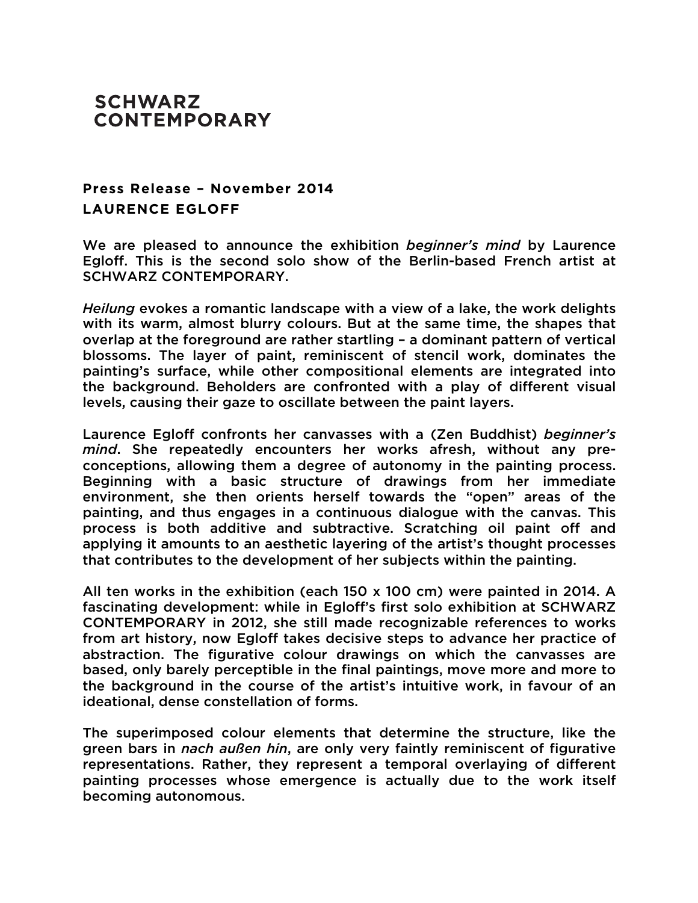## **SCHWARZ CONTEMPORARY**

## **Press Release – November 2014 LAURENCE EGLOFF**

We are pleased to announce the exhibition *beginner's mind* by Laurence Egloff. This is the second solo show of the Berlin-based French artist at SCHWARZ CONTEMPORARY.

*Heilung* evokes a romantic landscape with a view of a lake, the work delights with its warm, almost blurry colours. But at the same time, the shapes that overlap at the foreground are rather startling – a dominant pattern of vertical blossoms. The layer of paint, reminiscent of stencil work, dominates the painting's surface, while other compositional elements are integrated into the background. Beholders are confronted with a play of different visual levels, causing their gaze to oscillate between the paint layers.

Laurence Egloff confronts her canvasses with a (Zen Buddhist) *beginner's mind*. She repeatedly encounters her works afresh, without any preconceptions, allowing them a degree of autonomy in the painting process. Beginning with a basic structure of drawings from her immediate environment, she then orients herself towards the "open" areas of the painting, and thus engages in a continuous dialogue with the canvas. This process is both additive and subtractive. Scratching oil paint off and applying it amounts to an aesthetic layering of the artist's thought processes that contributes to the development of her subjects within the painting.

All ten works in the exhibition (each 150 x 100 cm) were painted in 2014. A fascinating development: while in Egloff's first solo exhibition at SCHWARZ CONTEMPORARY in 2012, she still made recognizable references to works from art history, now Egloff takes decisive steps to advance her practice of abstraction. The figurative colour drawings on which the canvasses are based, only barely perceptible in the final paintings, move more and more to the background in the course of the artist's intuitive work, in favour of an ideational, dense constellation of forms.

The superimposed colour elements that determine the structure, like the green bars in *nach außen hin*, are only very faintly reminiscent of figurative representations. Rather, they represent a temporal overlaying of different painting processes whose emergence is actually due to the work itself becoming autonomous.